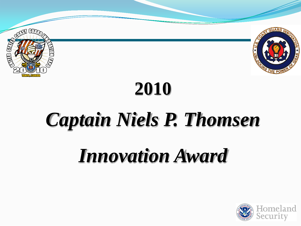



# **2010**

# *Captain Niels P. Thomsen*

## *Innovation Award*

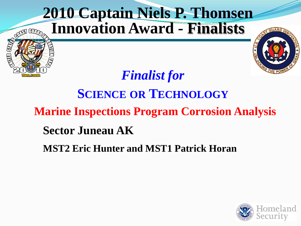

#### **SCIENCE OR TECHNOLOGY Marine Inspections Program Corrosion Analysis Sector Juneau AK**

**MST2 Eric Hunter and MST1 Patrick Horan**

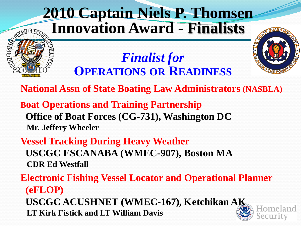### **2010 Captain Niels P. Thomsen Innovation Award - Finalists**



#### *Finalist for*  **OPERATIONS OR READINESS**

**National Assn of State Boating Law Administrators (NASBLA)**

**Boat Operations and Training Partnership Office of Boat Forces (CG-731), Washington DC Mr. Jeffery Wheeler**

**AED 87** 

**Vessel Tracking During Heavy Weather USCGC ESCANABA (WMEC-907), Boston MA CDR Ed Westfall**

**Electronic Fishing Vessel Locator and Operational Planner (eFLOP) USCGC ACUSHNET (WMEC-167), Ketchikan AK LT Kirk Fistick and LT William Davis**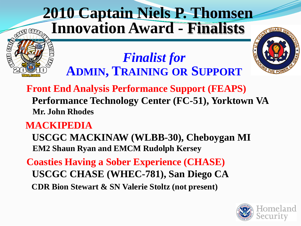### **2010 Captain Niels P. Thomsen Innovation Award - Finalists**



#### *Finalist for*  **ADMIN, TRAINING OR SUPPORT**

**Front End Analysis Performance Support (FEAPS) Performance Technology Center (FC-51), Yorktown VA Mr. John Rhodes**

#### **MACKIPEDIA**

**SS LED** 

**USCGC MACKINAW (WLBB-30), Cheboygan MI EM2 Shaun Ryan and EMCM Rudolph Kersey**

**Coasties Having a Sober Experience (CHASE) USCGC CHASE (WHEC-781), San Diego CA CDR Bion Stewart & SN Valerie Stoltz (not present)**

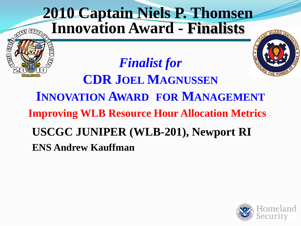

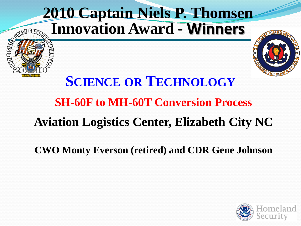

#### **SH-60F to MH-60T Conversion Process**

#### **Aviation Logistics Center, Elizabeth City NC**

**CWO Monty Everson (retired) and CDR Gene Johnson**

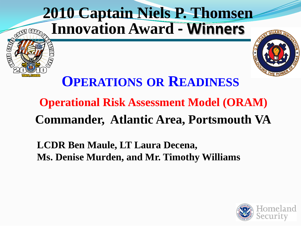

### **OPERATIONS OR READINESS**

### **Operational Risk Assessment Model (ORAM) Commander, Atlantic Area, Portsmouth VA**

#### **LCDR Ben Maule, LT Laura Decena, Ms. Denise Murden, and Mr. Timothy Williams**

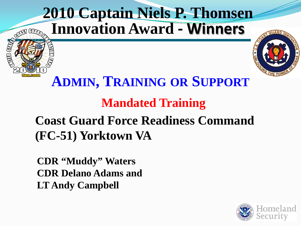

#### **ADMIN, TRAINING OR SUPPORT**

#### **Mandated Training**

#### **Coast Guard Force Readiness Command (FC-51) Yorktown VA**

**CDR "Muddy" Waters CDR Delano Adams and LT Andy Campbell**

FDS

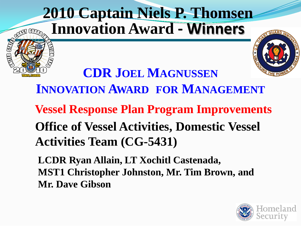### **2010 Captain Niels P. Thomsen Innovation Award - Winners**

NU SV



**CDR JOEL MAGNUSSEN INNOVATION AWARD FOR MANAGEMENT Vessel Response Plan Program Improvements Office of Vessel Activities, Domestic Vessel Activities Team (CG-5431)**

**LCDR Ryan Allain, LT Xochitl Castenada, MST1 Christopher Johnston, Mr. Tim Brown, and Mr. Dave Gibson**

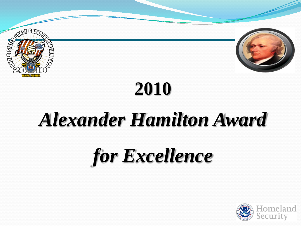



# **2010**

## *Alexander Hamilton Award*

# *for Excellence*

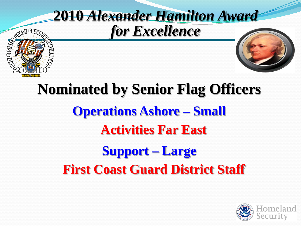

## **Nominated by Senior Flag Officers Operations Ashore – Small Activities Far East Support – Large First Coast Guard District Staff**

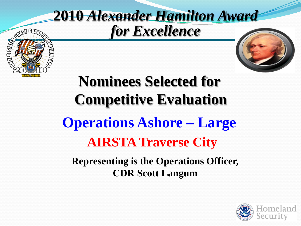## **2010** *Alexander Hamilton Award for Excellence*

**TED** 



## **Nominees Selected for Competitive Evaluation Operations Ashore – Large AIRSTA Traverse City Representing is the Operations Officer,**

**CDR Scott Langum**

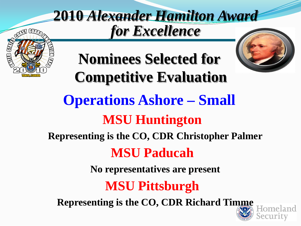### **2010** *Alexander Hamilton Award for Excellence*





**Nominees Selected for Competitive Evaluation Operations Ashore – Small MSU Huntington Representing is the CO, CDR Christopher Palmer MSU Paducah No representatives are present MSU Pittsburgh Representing is the CO, CDR Richard Timme**

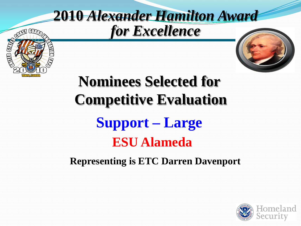

**TED** 

# **Nominees Selected for Competitive Evaluation Support – Large ESU Alameda**

**Representing is ETC Darren Davenport**